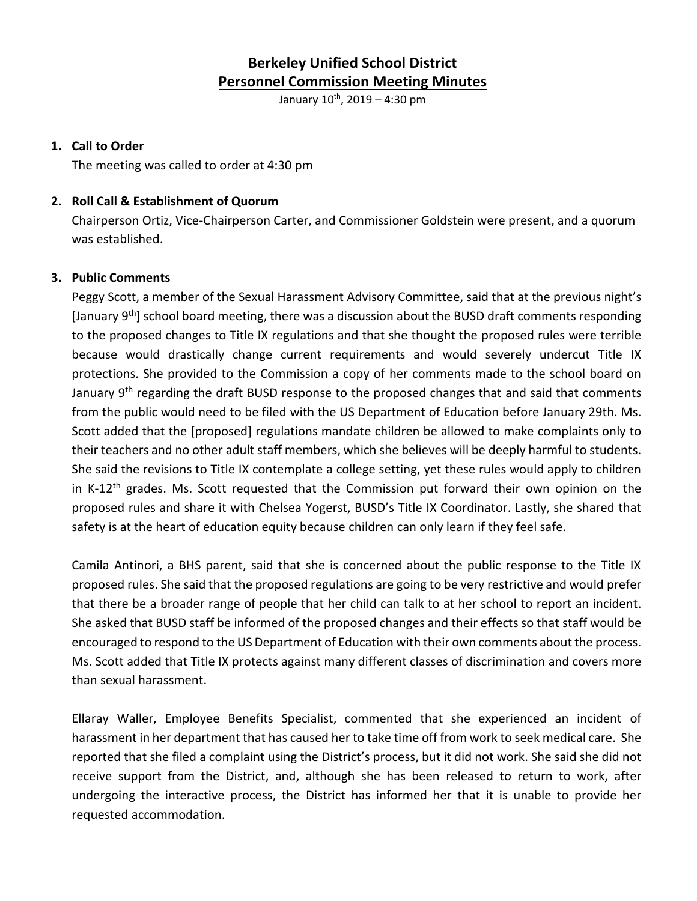# **Berkeley Unified School District Personnel Commission Meeting Minutes**

January  $10^{th}$ , 2019 – 4:30 pm

#### **1. Call to Order**

The meeting was called to order at 4:30 pm

#### **2. Roll Call & Establishment of Quorum**

Chairperson Ortiz, Vice-Chairperson Carter, and Commissioner Goldstein were present, and a quorum was established.

#### **3. Public Comments**

Peggy Scott, a member of the Sexual Harassment Advisory Committee, said that at the previous night's [January 9th] school board meeting, there was a discussion about the BUSD draft comments responding to the proposed changes to Title IX regulations and that she thought the proposed rules were terrible because would drastically change current requirements and would severely undercut Title IX protections. She provided to the Commission a copy of her comments made to the school board on January 9<sup>th</sup> regarding the draft BUSD response to the proposed changes that and said that comments from the public would need to be filed with the US Department of Education before January 29th. Ms. Scott added that the [proposed] regulations mandate children be allowed to make complaints only to their teachers and no other adult staff members, which she believes will be deeply harmful to students. She said the revisions to Title IX contemplate a college setting, yet these rules would apply to children in K-12<sup>th</sup> grades. Ms. Scott requested that the Commission put forward their own opinion on the proposed rules and share it with Chelsea Yogerst, BUSD's Title IX Coordinator. Lastly, she shared that safety is at the heart of education equity because children can only learn if they feel safe.

Camila Antinori, a BHS parent, said that she is concerned about the public response to the Title IX proposed rules. She said that the proposed regulations are going to be very restrictive and would prefer that there be a broader range of people that her child can talk to at her school to report an incident. She asked that BUSD staff be informed of the proposed changes and their effects so that staff would be encouraged to respond to the US Department of Education with their own comments about the process. Ms. Scott added that Title IX protects against many different classes of discrimination and covers more than sexual harassment.

Ellaray Waller, Employee Benefits Specialist, commented that she experienced an incident of harassment in her department that has caused her to take time off from work to seek medical care. She reported that she filed a complaint using the District's process, but it did not work. She said she did not receive support from the District, and, although she has been released to return to work, after undergoing the interactive process, the District has informed her that it is unable to provide her requested accommodation.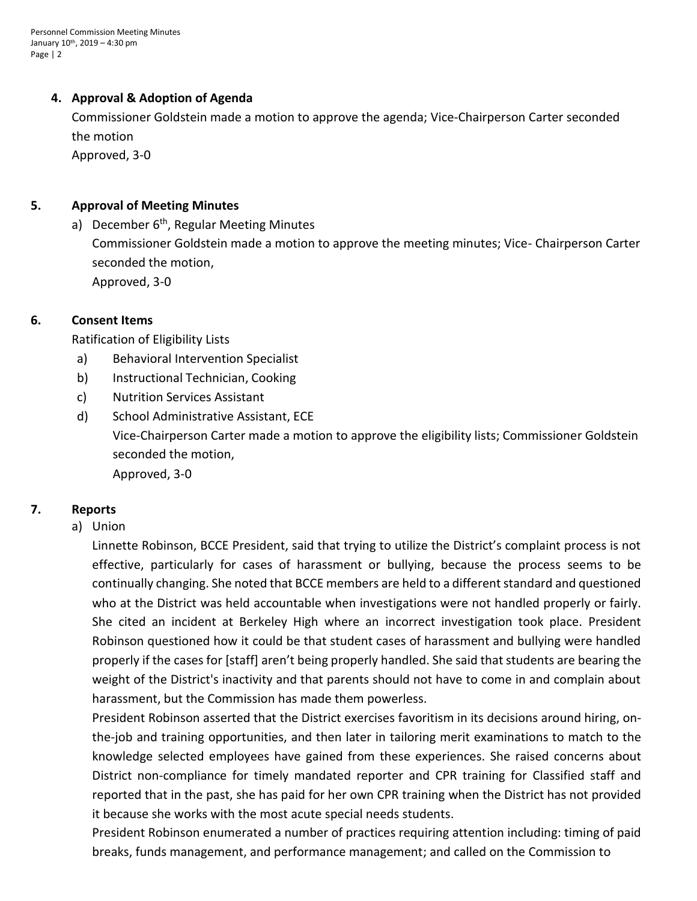#### **4. Approval & Adoption of Agenda**

Commissioner Goldstein made a motion to approve the agenda; Vice-Chairperson Carter seconded the motion Approved, 3-0

#### **5. Approval of Meeting Minutes**

a) December  $6<sup>th</sup>$ , Regular Meeting Minutes Commissioner Goldstein made a motion to approve the meeting minutes; Vice- Chairperson Carter seconded the motion, Approved, 3-0

#### **6. Consent Items**

Ratification of Eligibility Lists

- a) Behavioral Intervention Specialist
- b) Instructional Technician, Cooking
- c) Nutrition Services Assistant
- d) School Administrative Assistant, ECE Vice-Chairperson Carter made a motion to approve the eligibility lists; Commissioner Goldstein seconded the motion, Approved, 3-0

### **7. Reports**

a) Union

Linnette Robinson, BCCE President, said that trying to utilize the District's complaint process is not effective, particularly for cases of harassment or bullying, because the process seems to be continually changing. She noted that BCCE members are held to a different standard and questioned who at the District was held accountable when investigations were not handled properly or fairly. She cited an incident at Berkeley High where an incorrect investigation took place. President Robinson questioned how it could be that student cases of harassment and bullying were handled properly if the cases for [staff] aren't being properly handled. She said that students are bearing the weight of the District's inactivity and that parents should not have to come in and complain about harassment, but the Commission has made them powerless.

President Robinson asserted that the District exercises favoritism in its decisions around hiring, onthe-job and training opportunities, and then later in tailoring merit examinations to match to the knowledge selected employees have gained from these experiences. She raised concerns about District non-compliance for timely mandated reporter and CPR training for Classified staff and reported that in the past, she has paid for her own CPR training when the District has not provided it because she works with the most acute special needs students.

President Robinson enumerated a number of practices requiring attention including: timing of paid breaks, funds management, and performance management; and called on the Commission to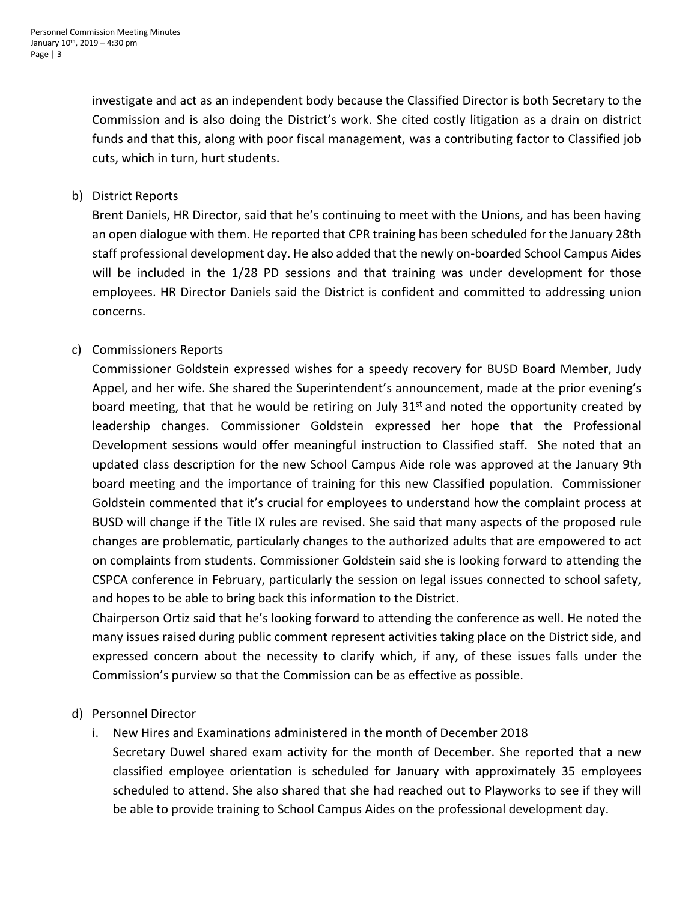investigate and act as an independent body because the Classified Director is both Secretary to the Commission and is also doing the District's work. She cited costly litigation as a drain on district funds and that this, along with poor fiscal management, was a contributing factor to Classified job cuts, which in turn, hurt students.

b) District Reports

Brent Daniels, HR Director, said that he's continuing to meet with the Unions, and has been having an open dialogue with them. He reported that CPR training has been scheduled for the January 28th staff professional development day. He also added that the newly on-boarded School Campus Aides will be included in the 1/28 PD sessions and that training was under development for those employees. HR Director Daniels said the District is confident and committed to addressing union concerns.

## c) Commissioners Reports

Commissioner Goldstein expressed wishes for a speedy recovery for BUSD Board Member, Judy Appel, and her wife. She shared the Superintendent's announcement, made at the prior evening's board meeting, that that he would be retiring on July  $31<sup>st</sup>$  and noted the opportunity created by leadership changes. Commissioner Goldstein expressed her hope that the Professional Development sessions would offer meaningful instruction to Classified staff. She noted that an updated class description for the new School Campus Aide role was approved at the January 9th board meeting and the importance of training for this new Classified population. Commissioner Goldstein commented that it's crucial for employees to understand how the complaint process at BUSD will change if the Title IX rules are revised. She said that many aspects of the proposed rule changes are problematic, particularly changes to the authorized adults that are empowered to act on complaints from students. Commissioner Goldstein said she is looking forward to attending the CSPCA conference in February, particularly the session on legal issues connected to school safety, and hopes to be able to bring back this information to the District.

Chairperson Ortiz said that he's looking forward to attending the conference as well. He noted the many issues raised during public comment represent activities taking place on the District side, and expressed concern about the necessity to clarify which, if any, of these issues falls under the Commission's purview so that the Commission can be as effective as possible.

### d) Personnel Director

i. New Hires and Examinations administered in the month of December 2018

Secretary Duwel shared exam activity for the month of December. She reported that a new classified employee orientation is scheduled for January with approximately 35 employees scheduled to attend. She also shared that she had reached out to Playworks to see if they will be able to provide training to School Campus Aides on the professional development day.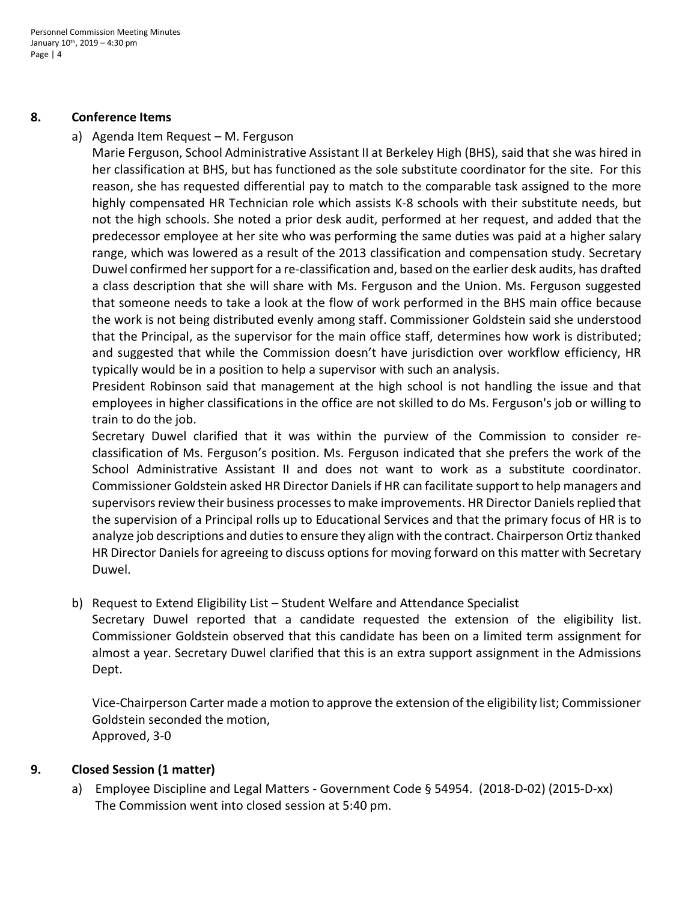#### **8. Conference Items**

a) Agenda Item Request – M. Ferguson

Marie Ferguson, School Administrative Assistant II at Berkeley High (BHS), said that she was hired in her classification at BHS, but has functioned as the sole substitute coordinator for the site. For this reason, she has requested differential pay to match to the comparable task assigned to the more highly compensated HR Technician role which assists K-8 schools with their substitute needs, but not the high schools. She noted a prior desk audit, performed at her request, and added that the predecessor employee at her site who was performing the same duties was paid at a higher salary range, which was lowered as a result of the 2013 classification and compensation study. Secretary Duwel confirmed her support for a re-classification and, based on the earlier desk audits, has drafted a class description that she will share with Ms. Ferguson and the Union. Ms. Ferguson suggested that someone needs to take a look at the flow of work performed in the BHS main office because the work is not being distributed evenly among staff. Commissioner Goldstein said she understood that the Principal, as the supervisor for the main office staff, determines how work is distributed; and suggested that while the Commission doesn't have jurisdiction over workflow efficiency, HR typically would be in a position to help a supervisor with such an analysis.

President Robinson said that management at the high school is not handling the issue and that employees in higher classifications in the office are not skilled to do Ms. Ferguson's job or willing to train to do the job.

Secretary Duwel clarified that it was within the purview of the Commission to consider reclassification of Ms. Ferguson's position. Ms. Ferguson indicated that she prefers the work of the School Administrative Assistant II and does not want to work as a substitute coordinator. Commissioner Goldstein asked HR Director Daniels if HR can facilitate support to help managers and supervisors review their business processes to make improvements. HR Director Daniels replied that the supervision of a Principal rolls up to Educational Services and that the primary focus of HR is to analyze job descriptions and dutiesto ensure they align with the contract. Chairperson Ortiz thanked HR Director Daniels for agreeing to discuss options for moving forward on this matter with Secretary Duwel.

b) Request to Extend Eligibility List – Student Welfare and Attendance Specialist

Secretary Duwel reported that a candidate requested the extension of the eligibility list. Commissioner Goldstein observed that this candidate has been on a limited term assignment for almost a year. Secretary Duwel clarified that this is an extra support assignment in the Admissions Dept.

Vice-Chairperson Carter made a motion to approve the extension of the eligibility list; Commissioner Goldstein seconded the motion, Approved, 3-0

### **9. Closed Session (1 matter)**

a) Employee Discipline and Legal Matters - Government Code § 54954. (2018-D-02) (2015-D-xx) The Commission went into closed session at 5:40 pm.